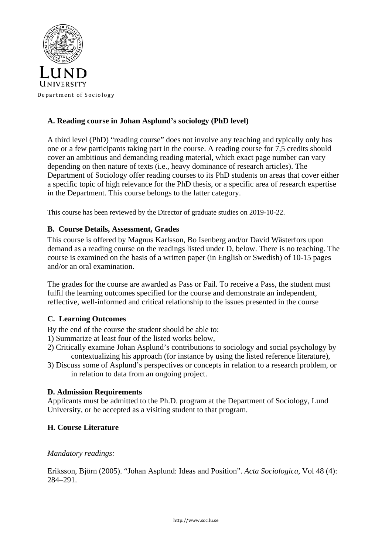

# **A. Reading course in Johan Asplund's sociology (PhD level)**

A third level (PhD) "reading course" does not involve any teaching and typically only has one or a few participants taking part in the course. A reading course for 7,5 credits should cover an ambitious and demanding reading material, which exact page number can vary depending on then nature of texts (i.e., heavy dominance of research articles). The Department of Sociology offer reading courses to its PhD students on areas that cover either a specific topic of high relevance for the PhD thesis, or a specific area of research expertise in the Department. This course belongs to the latter category.

This course has been reviewed by the Director of graduate studies on 2019-10-22.

## **B. Course Details, Assessment, Grades**

This course is offered by Magnus Karlsson, Bo Isenberg and/or David Wästerfors upon demand as a reading course on the readings listed under D, below. There is no teaching. The course is examined on the basis of a written paper (in English or Swedish) of 10-15 pages and/or an oral examination.

The grades for the course are awarded as Pass or Fail. To receive a Pass, the student must fulfil the learning outcomes specified for the course and demonstrate an independent, reflective, well-informed and critical relationship to the issues presented in the course

## **C. Learning Outcomes**

By the end of the course the student should be able to:

- 1) Summarize at least four of the listed works below,
- 2) Critically examine Johan Asplund's contributions to sociology and social psychology by contextualizing his approach (for instance by using the listed reference literature),
- 3) Discuss some of Asplund's perspectives or concepts in relation to a research problem, or in relation to data from an ongoing project.

## **D. Admission Requirements**

Applicants must be admitted to the Ph.D. program at the Department of Sociology, Lund University, or be accepted as a visiting student to that program.

## **H. Course Literature**

## *Mandatory readings:*

Eriksson, Björn (2005). "Johan Asplund: Ideas and Position". *Acta Sociologica*, Vol 48 (4): 284–291.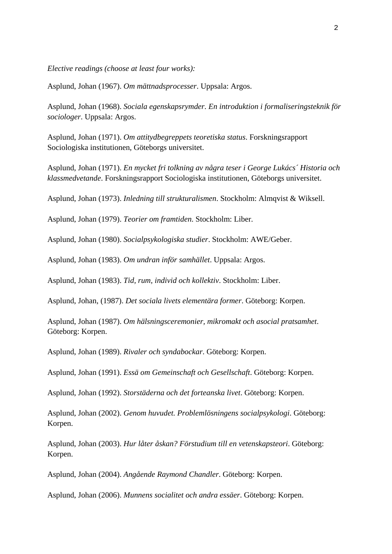*Elective readings (choose at least four works):*

Asplund, Johan (1967). *Om mättnadsprocesser*. Uppsala: Argos.

Asplund, Johan (1968). *Sociala egenskapsrymder. En introduktion i formaliseringsteknik för sociologer*. Uppsala: Argos.

Asplund, Johan (1971). *Om attitydbegreppets teoretiska status*. Forskningsrapport Sociologiska institutionen, Göteborgs universitet.

Asplund, Johan (1971). *En mycket fri tolkning av några teser i George Lukács´ Historia och klassmedvetande*. Forskningsrapport Sociologiska institutionen, Göteborgs universitet.

Asplund, Johan (1973). *Inledning till strukturalismen*. Stockholm: Almqvist & Wiksell.

Asplund, Johan (1979). *Teorier om framtiden*. Stockholm: Liber.

Asplund, Johan (1980). *Socialpsykologiska studier*. Stockholm: AWE/Geber.

Asplund, Johan (1983). *Om undran inför samhället*. Uppsala: Argos.

Asplund, Johan (1983). *Tid, rum, individ och kollektiv*. Stockholm: Liber.

Asplund, Johan, (1987). *Det sociala livets elementära former*. Göteborg: Korpen.

Asplund, Johan (1987). *Om hälsningsceremonier, mikromakt och asocial pratsamhet*. Göteborg: Korpen.

Asplund, Johan (1989). *Rivaler och syndabockar*. Göteborg: Korpen.

Asplund, Johan (1991). *Essä om Gemeinschaft och Gesellschaft*. Göteborg: Korpen.

Asplund, Johan (1992). *Storstäderna och det forteanska livet*. Göteborg: Korpen.

Asplund, Johan (2002). *Genom huvudet. Problemlösningens socialpsykologi*. Göteborg: Korpen.

Asplund, Johan (2003). *Hur låter åskan? Förstudium till en vetenskapsteori*. Göteborg: Korpen.

Asplund, Johan (2004). *Angående Raymond Chandler*. Göteborg: Korpen.

Asplund, Johan (2006). *Munnens socialitet och andra essäer*. Göteborg: Korpen.